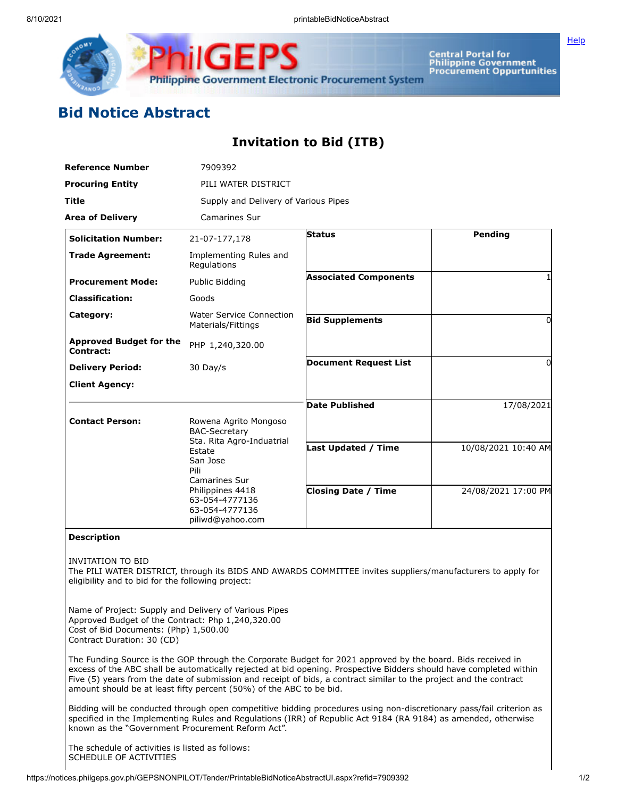

Central Portal for<br>Philippine Government<br>Procurement Oppurtunities

## **Bid Notice Abstract**

## **Invitation to Bid (ITB)**

| <b>Reference Number</b>                                                                                                                                                           | 7909392                                                                                                                                                                                               |                                                                                                             |                     |
|-----------------------------------------------------------------------------------------------------------------------------------------------------------------------------------|-------------------------------------------------------------------------------------------------------------------------------------------------------------------------------------------------------|-------------------------------------------------------------------------------------------------------------|---------------------|
| <b>Procuring Entity</b>                                                                                                                                                           | PILI WATER DISTRICT                                                                                                                                                                                   |                                                                                                             |                     |
| Title                                                                                                                                                                             | Supply and Delivery of Various Pipes                                                                                                                                                                  |                                                                                                             |                     |
| <b>Area of Delivery</b>                                                                                                                                                           | <b>Camarines Sur</b>                                                                                                                                                                                  |                                                                                                             |                     |
| <b>Solicitation Number:</b>                                                                                                                                                       | 21-07-177,178                                                                                                                                                                                         | <b>Status</b>                                                                                               | <b>Pending</b>      |
| <b>Trade Agreement:</b>                                                                                                                                                           | Implementing Rules and<br>Regulations                                                                                                                                                                 |                                                                                                             |                     |
| <b>Procurement Mode:</b>                                                                                                                                                          | Public Bidding                                                                                                                                                                                        | <b>Associated Components</b>                                                                                | 1                   |
| <b>Classification:</b>                                                                                                                                                            | Goods                                                                                                                                                                                                 |                                                                                                             |                     |
| Category:                                                                                                                                                                         | <b>Water Service Connection</b><br>Materials/Fittings                                                                                                                                                 | <b>Bid Supplements</b>                                                                                      | $\overline{0}$      |
| <b>Approved Budget for the</b><br>Contract:                                                                                                                                       | PHP 1,240,320.00                                                                                                                                                                                      |                                                                                                             |                     |
| <b>Delivery Period:</b>                                                                                                                                                           | 30 Day/s                                                                                                                                                                                              | <b>Document Request List</b>                                                                                | 0                   |
| <b>Client Agency:</b>                                                                                                                                                             |                                                                                                                                                                                                       |                                                                                                             |                     |
|                                                                                                                                                                                   |                                                                                                                                                                                                       | <b>Date Published</b>                                                                                       | 17/08/2021          |
| <b>Contact Person:</b>                                                                                                                                                            | Rowena Agrito Mongoso<br><b>BAC-Secretary</b><br>Sta. Rita Agro-Induatrial<br>Estate<br>San Jose<br>Pili<br>Camarines Sur<br>Philippines 4418<br>63-054-4777136<br>63-054-4777136<br>piliwd@yahoo.com |                                                                                                             |                     |
|                                                                                                                                                                                   |                                                                                                                                                                                                       | Last Updated / Time                                                                                         | 10/08/2021 10:40 AM |
|                                                                                                                                                                                   |                                                                                                                                                                                                       | <b>Closing Date / Time</b>                                                                                  | 24/08/2021 17:00 PM |
|                                                                                                                                                                                   |                                                                                                                                                                                                       |                                                                                                             |                     |
| <b>Description</b>                                                                                                                                                                |                                                                                                                                                                                                       |                                                                                                             |                     |
| <b>INVITATION TO BID</b><br>eligibility and to bid for the following project:                                                                                                     |                                                                                                                                                                                                       | The PILI WATER DISTRICT, through its BIDS AND AWARDS COMMITTEE invites suppliers/manufacturers to apply for |                     |
| Name of Project: Supply and Delivery of Various Pipes<br>Approved Budget of the Contract: Php 1,240,320.00<br>Cost of Bid Documents: (Php) 1,500.00<br>Contract Duration: 30 (CD) | $\frac{1}{2}$                                                                                                                                                                                         |                                                                                                             |                     |

The Funding Source is the GOP through the Corporate Budget for 2021 approved by the board. Bids received in excess of the ABC shall be automatically rejected at bid opening. Prospective Bidders should have completed within Five (5) years from the date of submission and receipt of bids, a contract similar to the project and the contract amount should be at least fifty percent (50%) of the ABC to be bid.

Bidding will be conducted through open competitive bidding procedures using non-discretionary pass/fail criterion as specified in the Implementing Rules and Regulations (IRR) of Republic Act 9184 (RA 9184) as amended, otherwise known as the "Government Procurement Reform Act".

The schedule of activities is listed as follows: SCHEDULE OF ACTIVITIES